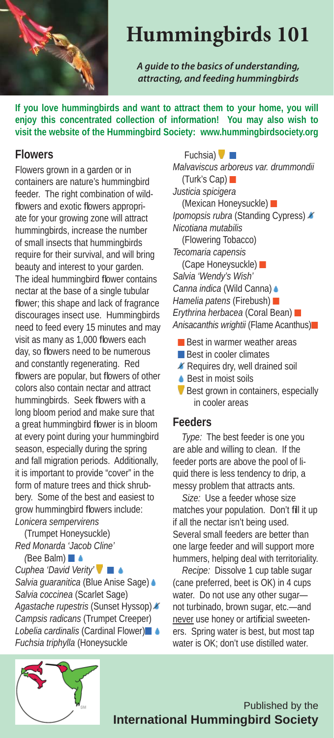

# **Hummingbirds 101**

*A guide to the basics of understanding, attracting, and feeding hummingbirds*

**If you love hummingbirds and want to attract them to your home, you will enjoy this concentrated collection of information! You may also wish to visit the website of the Hummingbird Society: www.hummingbirdsociety.org**

#### **Flowers**

Flowers grown in a garden or in containers are nature's hummingbird feeder. The right combination of wildflowers and exotic flowers appropriate for your growing zone will attract hummingbirds, increase the number of small insects that hummingbirds require for their survival, and will bring beauty and interest to your garden. The ideal hummingbird flower contains nectar at the base of a single tubular flower; this shape and lack of fragrance discourages insect use. Hummingbirds need to feed every 15 minutes and may visit as many as 1,000 flowers each day, so flowers need to be numerous and constantly regenerating. Red flowers are popular, but flowers of other colors also contain nectar and attract hummingbirds. Seek flowers with a long bloom period and make sure that a great hummingbird flower is in bloom at every point during your hummingbird season, especially during the spring and fall migration periods. Additionally, it is important to provide "cover" in the form of mature trees and thick shrubbery. Some of the best and easiest to grow hummingbird flowers include: *Lonicera sempervirens*

 (Trumpet Honeysuckle) *Red Monarda 'Jacob Cline'*

*<i>A* Bee Balm) **■** *Cuphea 'David Verity' Salvia guaranitica* (Blue Anise Sage) *Salvia coccinea* (Scarlet Sage) *Agastache rupestris* (Sunset Hyssop) *Campsis radicans* (Trumpet Creeper) *Lobelia cardinalis* (Cardinal Flower) *Fuchsia triphylla* (Honeysuckle

Fuchsia) **V** *Malvaviscus arboreus var. drummondii* (Turk's Cap) *Justicia spicigera* (Mexican Honeysuckle) *Ipomopsis rubra* (Standing Cypress) X *Nicotiana mutabilis* (Flowering Tobacco) *Tecomaria capensis* (Cape Honeysuckle) *Salvia 'Wendy's Wish' Canna indica* (Wild Canna) *Hamelia patens* (Firebush) *Erythrina herbacea* (Coral Bean) *Anisacanthis wrightii* (Flame Acanthus)

- **Best in warmer weather areas**
- **Best in cooler climates**
- Requires dry, well drained soil
- Best in moist soils
- Best grown in containers, especially in cooler areas

#### **Feeders**

 *Type:* The best feeder is one you are able and willing to clean. If the feeder ports are above the pool of liquid there is less tendency to drip, a messy problem that attracts ants.

 *Size:* Use a feeder whose size matches your population. Don't fill it up if all the nectar isn't being used. Several small feeders are better than one large feeder and will support more hummers, helping deal with territoriality.

 *Recipe:* Dissolve 1 cup table sugar (cane preferred, beet is OK) in 4 cups water. Do not use any other sugar not turbinado, brown sugar, etc.—and never use honey or artificial sweeteners. Spring water is best, but most tap water is OK; don't use distilled water.